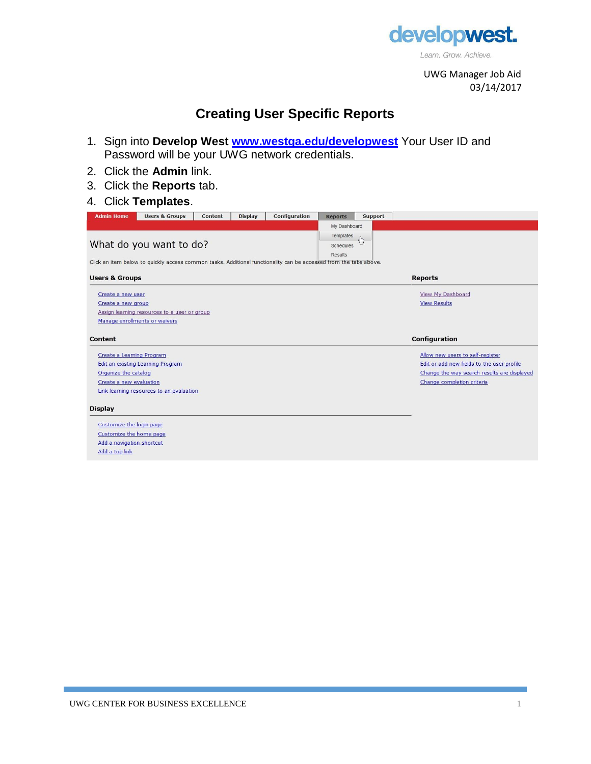

UWG Manager Job Aid 03/14/2017

## **Creating User Specific Reports**

- 1. Sign into **Develop West [www.westga.edu/developwest](http://www.westga.edu/developwest)** Your User ID and Password will be your UWG network credentials.
- 2. Click the **Admin** link.
- 3. Click the **Reports** tab.

## 4. Click **Templates**.

| <b>Admin Home</b>                                                                                                 | <b>Users &amp; Groups</b>                    | Content | <b>Display</b> | Configuration  | <b>Reports</b> | Support                  |                                             |  |  |  |  |
|-------------------------------------------------------------------------------------------------------------------|----------------------------------------------|---------|----------------|----------------|----------------|--------------------------|---------------------------------------------|--|--|--|--|
|                                                                                                                   |                                              |         |                |                | My Dashboard   |                          |                                             |  |  |  |  |
|                                                                                                                   |                                              |         |                |                | Templates      | $\mathcal{A}^{\text{h}}$ |                                             |  |  |  |  |
|                                                                                                                   | What do you want to do?                      |         |                |                | Schedules      |                          |                                             |  |  |  |  |
|                                                                                                                   |                                              |         |                | <b>Results</b> |                |                          |                                             |  |  |  |  |
| Click an item below to quickly access common tasks. Additional functionality can be accessed from the tabs above. |                                              |         |                |                |                |                          |                                             |  |  |  |  |
| <b>Users &amp; Groups</b>                                                                                         |                                              |         |                |                | <b>Reports</b> |                          |                                             |  |  |  |  |
| Create a new user                                                                                                 |                                              |         |                |                |                |                          | <b>View My Dashboard</b>                    |  |  |  |  |
| Create a new group                                                                                                |                                              |         |                |                |                |                          | <b>View Results</b>                         |  |  |  |  |
|                                                                                                                   | Assign learning resources to a user or group |         |                |                |                |                          |                                             |  |  |  |  |
|                                                                                                                   | Manage enrollments or waivers                |         |                |                |                |                          |                                             |  |  |  |  |
|                                                                                                                   |                                              |         |                |                |                |                          |                                             |  |  |  |  |
| Content                                                                                                           |                                              |         |                |                |                |                          | Configuration                               |  |  |  |  |
| Create a Learning Program                                                                                         |                                              |         |                |                |                |                          | Allow new users to self-register            |  |  |  |  |
|                                                                                                                   | Edit an existing Learning Program            |         |                |                |                |                          | Edit or add new fields to the user profile  |  |  |  |  |
| Organize the catalog                                                                                              |                                              |         |                |                |                |                          | Change the way search results are displayed |  |  |  |  |
| Create a new evaluation                                                                                           |                                              |         |                |                |                |                          | Change completion criteria                  |  |  |  |  |
|                                                                                                                   | Link learning resources to an evaluation     |         |                |                |                |                          |                                             |  |  |  |  |
| <b>Display</b>                                                                                                    |                                              |         |                |                |                |                          |                                             |  |  |  |  |
|                                                                                                                   |                                              |         |                |                |                |                          |                                             |  |  |  |  |
| Customize the login page                                                                                          |                                              |         |                |                |                |                          |                                             |  |  |  |  |
| Customize the home page                                                                                           |                                              |         |                |                |                |                          |                                             |  |  |  |  |
| Add a navigation shortcut                                                                                         |                                              |         |                |                |                |                          |                                             |  |  |  |  |
| Add a top link                                                                                                    |                                              |         |                |                |                |                          |                                             |  |  |  |  |
|                                                                                                                   |                                              |         |                |                |                |                          |                                             |  |  |  |  |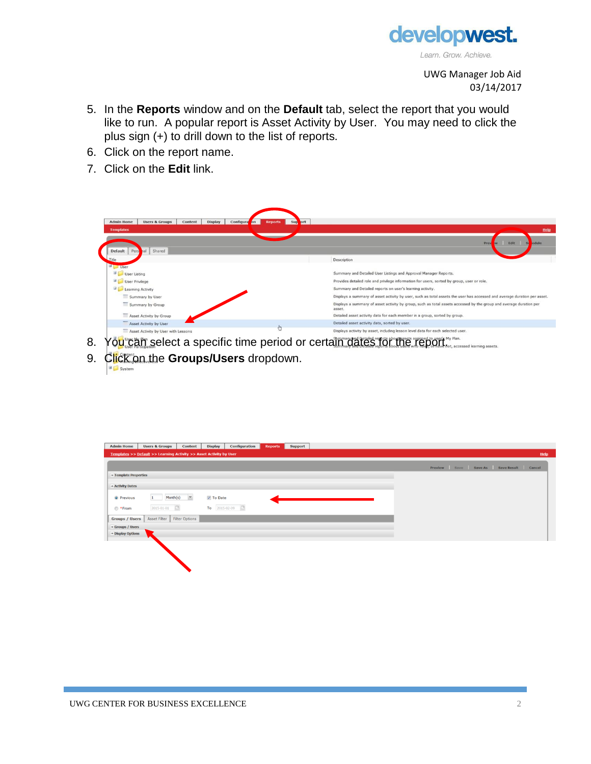

UWG Manager Job Aid 03/14/2017

- 5. In the **Reports** window and on the **Default** tab, select the report that you would like to run. A popular report is Asset Activity by User. You may need to click the plus sign (+) to drill down to the list of reports.
- 6. Click on the report name.
- 7. Click on the **Edit** link.

| <b>Admin Home</b><br><b>Display</b><br>Configura<br><b>Users &amp; Groups</b><br>Content<br><b>Jon</b> | ort<br>Sup<br><b>Reports</b>                                                                                                 |
|--------------------------------------------------------------------------------------------------------|------------------------------------------------------------------------------------------------------------------------------|
| <b>Templates</b>                                                                                       | Help                                                                                                                         |
| Default<br>Shared<br>Pers                                                                              | Pre<br>Edit<br><b>Sid</b><br>edule<br>w                                                                                      |
| Title                                                                                                  | Description                                                                                                                  |
| <b>Diser</b>                                                                                           |                                                                                                                              |
| User Listing                                                                                           | Summary and Detailed User Listings and Approval Manager Reports.                                                             |
| User Privilege                                                                                         | Provides detailed role and privilege information for users, sorted by group, user or role.                                   |
| Learning Activity                                                                                      | Summary and Detailed reports on user's learning activity.                                                                    |
| Summary by User                                                                                        | Displays a summary of asset activity by user, such as total assets the user has accessed and average duration per asset.     |
| Summary by Group                                                                                       | Displays a summary of asset activity by group, such as total assets accessed by the group and average duration per<br>asset. |
| Asset Activity by Group                                                                                | Detailed asset activity data for each member in a group, sorted by group.                                                    |
| Asset Activity by User                                                                                 | Detailed asset activity data, sorted by user.                                                                                |
| Asset Activity by User with Lessons                                                                    | Displays activity by asset, including lesson level data for each selected user.                                              |
| <b>CONTRACTOR CONTRACTOR</b>                                                                           | Commence and Detailed considerations accepts and send to consider Mr. Blog.                                                  |

- 8. You can select a specific time period or certain dates for the report.<sup>Ny Plan.</sup>
- 9. Click on the **Groups/Users** dropdown.System

| <b>Admin Home</b>     | <b>Users &amp; Groups</b>                                           | Content        | <b>Display</b> | Configuration   | <b>Reports</b> | <b>Support</b> |  |  |  |  |                                         |  |      |
|-----------------------|---------------------------------------------------------------------|----------------|----------------|-----------------|----------------|----------------|--|--|--|--|-----------------------------------------|--|------|
|                       | Templates >> Default >> Learning Activity >> Asset Activity by User |                |                |                 |                |                |  |  |  |  |                                         |  | Help |
|                       |                                                                     |                |                |                 |                |                |  |  |  |  | Preview Save Save As Save Result Cancel |  |      |
| Template Properties   |                                                                     |                |                |                 |                |                |  |  |  |  |                                         |  |      |
| - Activity Dates      |                                                                     |                |                |                 |                |                |  |  |  |  |                                         |  |      |
| <sup>O</sup> Previous | Month(s)                                                            | $\checkmark$   | V To Date      |                 |                |                |  |  |  |  |                                         |  |      |
| ● *From               | 2015-01-01                                                          |                |                | To $2015-02-09$ |                |                |  |  |  |  |                                         |  |      |
| <b>Groups / Users</b> | <b>Asset Filter</b>                                                 | Filter Options |                |                 |                |                |  |  |  |  |                                         |  |      |
| Groups / Users        |                                                                     |                |                |                 |                |                |  |  |  |  |                                         |  |      |
| * Display Options     |                                                                     |                |                |                 |                |                |  |  |  |  |                                         |  |      |
|                       |                                                                     |                |                |                 |                |                |  |  |  |  |                                         |  |      |
|                       |                                                                     |                |                |                 |                |                |  |  |  |  |                                         |  |      |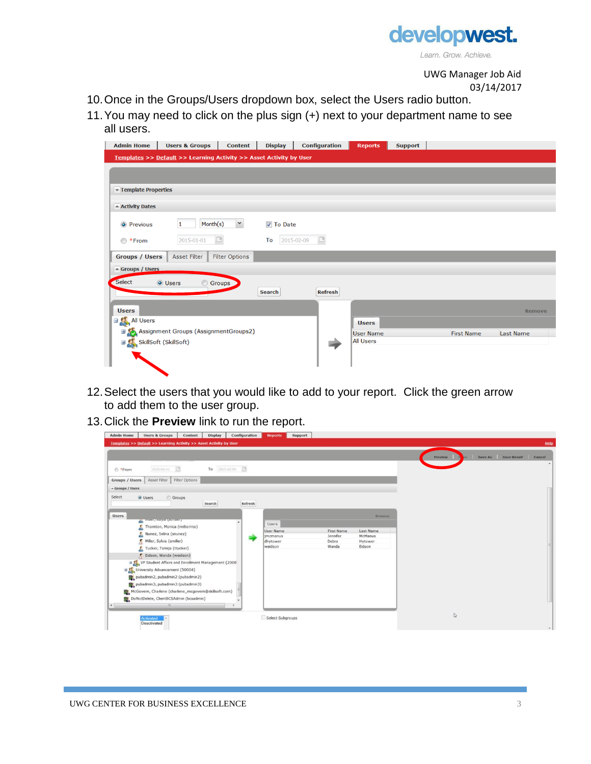

UWG Manager Job Aid 03/14/2017

- 10.Once in the Groups/Users dropdown box, select the Users radio button.
- 11.You may need to click on the plus sign (+) next to your department name to see all users.

| <b>Admin Home</b>                 | <b>Users &amp; Groups</b>                                           | <b>Content</b>        | <b>Display</b>   | <b>Configuration</b> | <b>Reports</b>   | <b>Support</b> |                   |                  |
|-----------------------------------|---------------------------------------------------------------------|-----------------------|------------------|----------------------|------------------|----------------|-------------------|------------------|
|                                   | Templates >> Default >> Learning Activity >> Asset Activity by User |                       |                  |                      |                  |                |                   |                  |
|                                   |                                                                     |                       |                  |                      |                  |                |                   |                  |
| Template Properties               |                                                                     |                       |                  |                      |                  |                |                   |                  |
| - Activity Dates                  |                                                                     |                       |                  |                      |                  |                |                   |                  |
| <sup>O</sup> Previous             | Month(s)<br>1                                                       | $\checkmark$          | <b>⊽</b> To Date |                      |                  |                |                   |                  |
| ◯ *From                           | 2015-01-01                                                          | $\Box$                | To               | 2015-02-09           |                  |                |                   |                  |
| <b>Groups / Users</b>             | <b>Asset Filter</b>                                                 | <b>Filter Options</b> |                  |                      |                  |                |                   |                  |
| - Groups / Users                  |                                                                     |                       |                  |                      |                  |                |                   |                  |
| Select                            | <b>O</b> Users<br>$\odot$                                           | Groups _              | <b>Search</b>    | <b>Refresh</b>       |                  |                |                   |                  |
| <b>Users</b>                      |                                                                     |                       |                  |                      |                  |                |                   | <b>Remove</b>    |
| <b>EXALT All Users</b>            |                                                                     |                       |                  |                      | <b>Users</b>     |                |                   |                  |
|                                   | Assignment Groups (AssignmentGroups2)                               |                       |                  |                      | <b>User Name</b> |                | <b>First Name</b> | <b>Last Name</b> |
| <b>⊞ Co</b> SkillSoft (SkillSoft) |                                                                     |                       |                  |                      | <b>All Users</b> |                |                   |                  |

- 12.Select the users that you would like to add to your report. Click the green arrow to add them to the user group.
- 13.Click the **Preview** link to run the report.

| <b>Admin Home</b><br><b>Users &amp; Groups</b><br>Display<br>Content | Configuration | Support<br><b>Reports</b> |            |           |                                       |      |
|----------------------------------------------------------------------|---------------|---------------------------|------------|-----------|---------------------------------------|------|
| Templates >> Default >> Learning Activity >> Asset Activity by User  |               |                           |            |           |                                       | Help |
|                                                                      |               |                           |            |           | Save As Save Result Cancel<br>Preview |      |
| 2015-01-01 日<br>To 2015-02-09 3<br><sup>*</sup> From                 |               |                           |            |           |                                       |      |
| Asset Filter Filter Options<br><b>Groups / Users</b>                 |               |                           |            |           |                                       |      |
| * Groups / Users                                                     |               |                           |            |           |                                       |      |
| Select<br>O Users<br>Groups<br>Search                                | Refresh       |                           |            |           |                                       |      |
| <b>Users</b><br>Partners, nays (Ammer)                               |               |                           |            | Remove:   |                                       |      |
| Thomton, Monica (mthomto)                                            |               | Users<br>User Name        | First Name | Last Name |                                       |      |
| Nunez, Selina (snunez)                                               |               | imcmanus                  | Jennifer   | McManus   |                                       |      |
| Miller, Sylvia (smiller)                                             |               | dhytower                  | Debra      | Hytower   |                                       |      |
| Tucker, Tamija (ttucker)                                             |               | weidson                   | Wanda      | Eidson    |                                       |      |
| 5<br>Eidson, Wanda (weidson)                                         |               |                           |            |           |                                       |      |
| EL VP Student Affairs and Enrollment Management (2008)               |               |                           |            |           |                                       |      |
| University Advancement (50004)                                       |               |                           |            |           |                                       |      |
| pubadmin2, pubadmin2 (pubadmin2)                                     |               |                           |            |           |                                       |      |
| pubadmin3, pubadmin3 (pubadmin3)                                     |               |                           |            |           |                                       |      |
| McGovern, Charlene (charlene_mcgovern@skillsoft.com)                 |               |                           |            |           |                                       |      |
| DoNotDelete, ClientBCSAdmin (bcsadmin)                               |               |                           |            |           |                                       |      |
| $\left  \right $                                                     |               |                           |            |           |                                       |      |
|                                                                      |               |                           |            |           |                                       |      |
| Activated<br>Deactivated                                             |               | Select Subgroups          |            |           | $\mathbb{D}$                          |      |